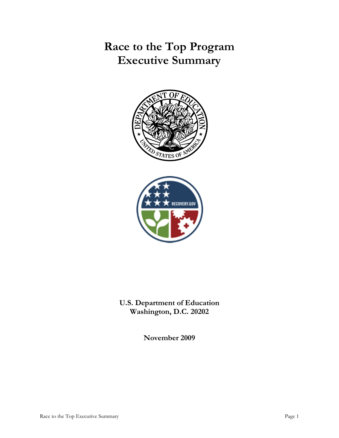# **Race to the Top Program Executive Summary**





**U.S. Department of Education Washington, D.C. 20202**

**November 2009**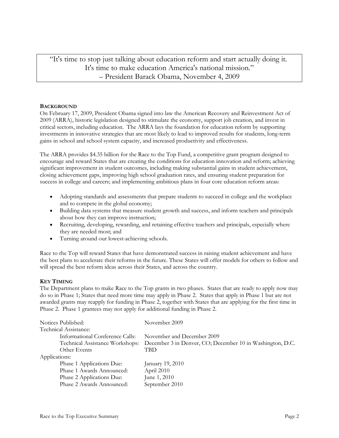## ―It's time to stop just talking about education reform and start actually doing it. It's time to make education America's national mission." – President Barack Obama, November 4, 2009

## **BACKGROUND**

On February 17, 2009, President Obama signed into law the American Recovery and Reinvestment Act of 2009 (ARRA), historic legislation designed to stimulate the economy, support job creation, and invest in critical sectors, including education. The ARRA lays the foundation for education reform by supporting investments in innovative strategies that are most likely to lead to improved results for students, long-term gains in school and school system capacity, and increased productivity and effectiveness.

The ARRA provides \$4.35 billion for the Race to the Top Fund, a competitive grant program designed to encourage and reward States that are creating the conditions for education innovation and reform; achieving significant improvement in student outcomes, including making substantial gains in student achievement, closing achievement gaps, improving high school graduation rates, and ensuring student preparation for success in college and careers; and implementing ambitious plans in four core education reform areas:

- Adopting standards and assessments that prepare students to succeed in college and the workplace and to compete in the global economy;
- Building data systems that measure student growth and success, and inform teachers and principals about how they can improve instruction;
- Recruiting, developing, rewarding, and retaining effective teachers and principals, especially where they are needed most; and
- Turning around our lowest-achieving schools.

Race to the Top will reward States that have demonstrated success in raising student achievement and have the best plans to accelerate their reforms in the future. These States will offer models for others to follow and will spread the best reform ideas across their States, and across the country.

## **KEY TIMING**

The Department plans to make Race to the Top grants in two phases. States that are ready to apply now may do so in Phase 1; States that need more time may apply in Phase 2. States that apply in Phase 1 but are not awarded grants may reapply for funding in Phase 2, together with States that are applying for the first time in Phase 2. Phase 1 grantees may not apply for additional funding in Phase 2.

| Notices Published:              | November 2009                                             |
|---------------------------------|-----------------------------------------------------------|
| Technical Assistance:           |                                                           |
| Informational Conference Calls: | November and December 2009                                |
| Technical Assistance Workshops: | December 3 in Denver, CO; December 10 in Washington, D.C. |
| Other Events                    | TBD                                                       |
| Applications:                   |                                                           |
| Phase 1 Applications Due:       | January 19, 2010                                          |
| Phase 1 Awards Announced:       | April 2010                                                |
| Phase 2 Applications Due:       | June 1, 2010                                              |
| Phase 2 Awards Announced:       | September 2010                                            |
|                                 |                                                           |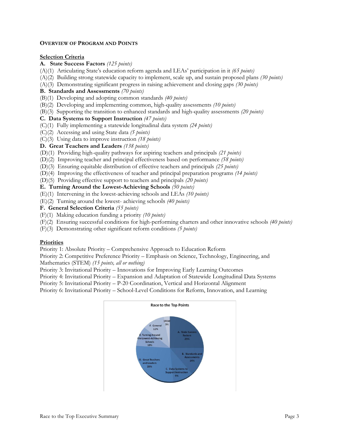## **OVERVIEW OF PROGRAM AND POINTS**

#### **Selection Criteria**

## **A. State Success Factors** *(125 points)*

- (A)(1) Articulating State's education reform agenda and LEAs' participation in it *(65 points)*
- (A)(2) Building strong statewide capacity to implement, scale up, and sustain proposed plans *(30 points)*
- (A)(3) Demonstrating significant progress in raising achievement and closing gaps *(30 points)*

## **B. Standards and Assessments** *(70 points)*

- (B)(1) Developing and adopting common standards *(40 points)*
- (B)(2) Developing and implementing common, high-quality assessments *(10 points)*
- (B)(3) Supporting the transition to enhanced standards and high-quality assessments *(20 points)*

## **C. Data Systems to Support Instruction** *(47 points)*

- (C)(1) Fully implementing a statewide longitudinal data system *(24 points)*
- (C)(2) Accessing and using State data *(5 points)*
- (C)(3) Using data to improve instruction *(18 points)*

## **D. Great Teachers and Leaders** *(138 points)*

- (D)(1) Providing high-quality pathways for aspiring teachers and principals *(21 points)*
- (D)(2) Improving teacher and principal effectiveness based on performance *(58 points)*
- (D)(3) Ensuring equitable distribution of effective teachers and principals *(25 points)*
- (D)(4) Improving the effectiveness of teacher and principal preparation programs *(14 points)*
- (D)(5) Providing effective support to teachers and principals *(20 points)*

## **E. Turning Around the Lowest-Achieving Schools** *(50 points)*

- (E)(1) Intervening in the lowest-achieving schools and LEAs *(10 points)*
- (E)(2) Turning around the lowest- achieving schools *(40 points)*

## **F. General Selection Criteria** *(55 points)*

- (F)(1) Making education funding a priority *(10 points)*
- (F)(2) Ensuring successful conditions for high-performing charters and other innovative schools *(40 points)*
- (F)(3) Demonstrating other significant reform conditions *(5 points)*

## **Priorities**

Priority 1: Absolute Priority – Comprehensive Approach to Education Reform

Priority 2: Competitive Preference Priority – Emphasis on Science, Technology, Engineering, and Mathematics (STEM) *(15 points, all or nothing)*

Priority 3: Invitational Priority – Innovations for Improving Early Learning Outcomes

Priority 4: Invitational Priority – Expansion and Adaptation of Statewide Longitudinal Data Systems

Priority 5: Invitational Priority – P-20 Coordination, Vertical and Horizontal Alignment

Priority 6: Invitational Priority – School-Level Conditions for Reform, Innovation, and Learning

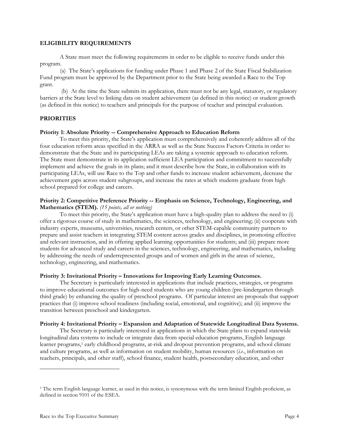#### **ELIGIBILITY REQUIREMENTS**

A State must meet the following requirements in order to be eligible to receive funds under this program.

(a) The State's applications for funding under Phase 1 and Phase 2 of the State Fiscal Stabilization Fund program must be approved by the Department prior to the State being awarded a Race to the Top grant.

(b) At the time the State submits its application, there must not be any legal, statutory, or regulatory barriers at the State level to linking data on student achievement (as defined in this notice) or student growth (as defined in this notice) to teachers and principals for the purpose of teacher and principal evaluation.

#### **PRIORITIES**

#### **Priority 1: Absolute Priority -- Comprehensive Approach to Education Reform**

To meet this priority, the State's application must comprehensively and coherently address all of the four education reform areas specified in the ARRA as well as the State Success Factors Criteria in order to demonstrate that the State and its participating LEAs are taking a systemic approach to education reform. The State must demonstrate in its application sufficient LEA participation and commitment to successfully implement and achieve the goals in its plans; and it must describe how the State, in collaboration with its participating LEAs, will use Race to the Top and other funds to increase student achievement, decrease the achievement gaps across student subgroups, and increase the rates at which students graduate from high school prepared for college and careers.

## **Priority 2: Competitive Preference Priority -- Emphasis on Science, Technology, Engineering, and Mathematics (STEM).** *(15 points, all or nothing)*

To meet this priority, the State's application must have a high-quality plan to address the need to (i) offer a rigorous course of study in mathematics, the sciences, technology, and engineering; (ii) cooperate with industry experts, museums, universities, research centers, or other STEM-capable community partners to prepare and assist teachers in integrating STEM content across grades and disciplines, in promoting effective and relevant instruction, and in offering applied learning opportunities for students; and (iii) prepare more students for advanced study and careers in the sciences, technology, engineering, and mathematics, including by addressing the needs of underrepresented groups and of women and girls in the areas of science, technology, engineering, and mathematics.

#### **Priority 3: Invitational Priority – Innovations for Improving Early Learning Outcomes.**

The Secretary is particularly interested in applications that include practices, strategies, or programs to improve educational outcomes for high-need students who are young children (pre-kindergarten through third grade) by enhancing the quality of preschool programs. Of particular interest are proposals that support practices that (i) improve school readiness (including social, emotional, and cognitive); and (ii) improve the transition between preschool and kindergarten.

#### **Priority 4: Invitational Priority – Expansion and Adaptation of Statewide Longitudinal Data Systems.**

The Secretary is particularly interested in applications in which the State plans to expand statewide longitudinal data systems to include or integrate data from special education programs, English language learner programs, <sup>1</sup> early childhood programs, at-risk and dropout prevention programs, and school climate and culture programs, as well as information on student mobility, human resources (*i.e.*, information on teachers, principals, and other staff), school finance, student health, postsecondary education, and other

<u>.</u>

<sup>&</sup>lt;sup>1</sup> The term English language learner, as used in this notice, is synonymous with the term limited English proficient, as defined in section 9101 of the ESEA.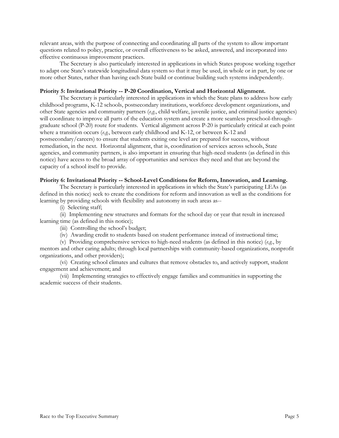relevant areas, with the purpose of connecting and coordinating all parts of the system to allow important questions related to policy, practice, or overall effectiveness to be asked, answered, and incorporated into effective continuous improvement practices.

The Secretary is also particularly interested in applications in which States propose working together to adapt one State's statewide longitudinal data system so that it may be used, in whole or in part, by one or more other States, rather than having each State build or continue building such systems independently.

#### **Priority 5: Invitational Priority -- P-20 Coordination, Vertical and Horizontal Alignment.**

The Secretary is particularly interested in applications in which the State plans to address how early childhood programs, K-12 schools, postsecondary institutions, workforce development organizations, and other State agencies and community partners (*e.g.*, child welfare, juvenile justice, and criminal justice agencies) will coordinate to improve all parts of the education system and create a more seamless preschool-throughgraduate school (P-20) route for students. Vertical alignment across P-20 is particularly critical at each point where a transition occurs (*e.g.*, between early childhood and K-12, or between K-12 and postsecondary/careers) to ensure that students exiting one level are prepared for success, without remediation, in the next. Horizontal alignment, that is, coordination of services across schools, State agencies, and community partners, is also important in ensuring that high-need students (as defined in this notice) have access to the broad array of opportunities and services they need and that are beyond the capacity of a school itself to provide.

#### **Priority 6: Invitational Priority -- School-Level Conditions for Reform, Innovation, and Learning.**

 The Secretary is particularly interested in applications in which the State's participating LEAs (as defined in this notice) seek to create the conditions for reform and innovation as well as the conditions for learning by providing schools with flexibility and autonomy in such areas as--

(i) Selecting staff;

 (ii) Implementing new structures and formats for the school day or year that result in increased learning time (as defined in this notice);

(iii) Controlling the school's budget;

(iv) Awarding credit to students based on student performance instead of instructional time;

(v) Providing comprehensive services to high-need students (as defined in this notice) (*e.g.*, by mentors and other caring adults; through local partnerships with community-based organizations, nonprofit organizations, and other providers);

(vi) Creating school climates and cultures that remove obstacles to, and actively support, student engagement and achievement; and

(vii) Implementing strategies to effectively engage families and communities in supporting the academic success of their students.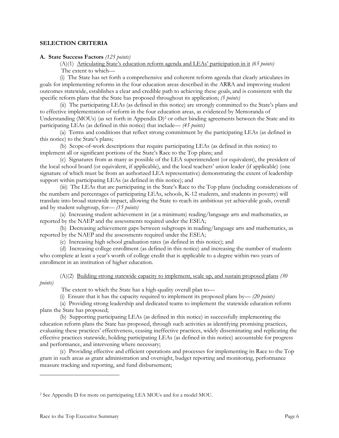#### **SELECTION CRITERIA**

#### **A. State Success Factors** *(125 points)*

(A)(1) Articulating State's education reform agenda and LEAs' participation in it *(65 points)*

The extent to which—

(i) The State has set forth a comprehensive and coherent reform agenda that clearly articulates its goals for implementing reforms in the four education areas described in the ARRA and improving student outcomes statewide, establishes a clear and credible path to achieving these goals, and is consistent with the specific reform plans that the State has proposed throughout its application; *(5 points)*

(ii) The participating LEAs (as defined in this notice) are strongly committed to the State's plans and to effective implementation of reform in the four education areas, as evidenced by Memoranda of Understanding (MOUs) (as set forth in Appendix D)<sup>2</sup> or other binding agreements between the State and its participating LEAs (as defined in this notice) that include— *(45 points)*

(a) Terms and conditions that reflect strong commitment by the participating LEAs (as defined in this notice) to the State's plans;

(b) Scope-of-work descriptions that require participating LEAs (as defined in this notice) to implement all or significant portions of the State's Race to the Top plans; and

(c) Signatures from as many as possible of the LEA superintendent (or equivalent), the president of the local school board (or equivalent, if applicable), and the local teachers' union leader (if applicable) (one signature of which must be from an authorized LEA representative) demonstrating the extent of leadership support within participating LEAs (as defined in this notice); and

(iii) The LEAs that are participating in the State's Race to the Top plans (including considerations of the numbers and percentages of participating LEAs, schools, K-12 students, and students in poverty) will translate into broad statewide impact, allowing the State to reach its ambitious yet achievable goals, overall and by student subgroup, for— *(15 points)*

(a) Increasing student achievement in (at a minimum) reading/language arts and mathematics, as reported by the NAEP and the assessments required under the ESEA;

(b) Decreasing achievement gaps between subgroups in reading/language arts and mathematics, as reported by the NAEP and the assessments required under the ESEA;

(c) Increasing high school graduation rates (as defined in this notice); and

(d) Increasing college enrollment (as defined in this notice) and increasing the number of students who complete at least a year's worth of college credit that is applicable to a degree within two years of enrollment in an institution of higher education.

(A)(2) Building strong statewide capacity to implement, scale up, and sustain proposed plans *(30 points)*

The extent to which the State has a high-quality overall plan to—

(i) Ensure that it has the capacity required to implement its proposed plans by— *(20 points)*

(a) Providing strong leadership and dedicated teams to implement the statewide education reform plans the State has proposed;

(b) Supporting participating LEAs (as defined in this notice) in successfully implementing the education reform plans the State has proposed, through such activities as identifying promising practices, evaluating these practices' effectiveness, ceasing ineffective practices, widely disseminating and replicating the effective practices statewide, holding participating LEAs (as defined in this notice) accountable for progress and performance, and intervening where necessary;

(c) Providing effective and efficient operations and processes for implementing its Race to the Top grant in such areas as grant administration and oversight, budget reporting and monitoring, performance measure tracking and reporting, and fund disbursement;

L,

<sup>2</sup> See Appendix D for more on participating LEA MOUs and for a model MOU.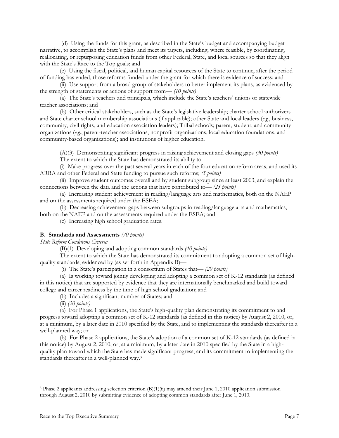(d) Using the funds for this grant, as described in the State's budget and accompanying budget narrative, to accomplish the State's plans and meet its targets, including, where feasible, by coordinating, reallocating, or repurposing education funds from other Federal, State, and local sources so that they align with the State's Race to the Top goals; and

(e) Using the fiscal, political, and human capital resources of the State to continue, after the period of funding has ended, those reforms funded under the grant for which there is evidence of success; and

(ii) Use support from a broad group of stakeholders to better implement its plans, as evidenced by the strength of statements or actions of support from— *(10 points)*

(a) The State's teachers and principals, which include the State's teachers' unions or statewide teacher associations; and

(b) Other critical stakeholders, such as the State's legislative leadership; charter school authorizers and State charter school membership associations (if applicable); other State and local leaders (*e.g.*, business, community, civil rights, and education association leaders); Tribal schools; parent, student, and community organizations (*e.g.*, parent-teacher associations, nonprofit organizations, local education foundations, and community-based organizations); and institutions of higher education.

(A)(3) Demonstrating significant progress in raising achievement and closing gaps *(30 points)*

The extent to which the State has demonstrated its ability to—

(i) Make progress over the past several years in each of the four education reform areas, and used its ARRA and other Federal and State funding to pursue such reforms; *(5 points)*

(ii) Improve student outcomes overall and by student subgroup since at least 2003, and explain the connections between the data and the actions that have contributed to— *(25 points)*

(a) Increasing student achievement in reading/language arts and mathematics, both on the NAEP and on the assessments required under the ESEA;

(b) Decreasing achievement gaps between subgroups in reading/language arts and mathematics, both on the NAEP and on the assessments required under the ESEA; and

(c) Increasing high school graduation rates.

## **B. Standards and Assessments** *(70 points)*

*State Reform Conditions Criteria*

(B)(1) Developing and adopting common standards *(40 points)*

The extent to which the State has demonstrated its commitment to adopting a common set of highquality standards, evidenced by (as set forth in Appendix B)—

(i) The State's participation in a consortium of States that— *(20 points)*

(a) Is working toward jointly developing and adopting a common set of K-12 standards (as defined in this notice) that are supported by evidence that they are internationally benchmarked and build toward college and career readiness by the time of high school graduation; and

(b) Includes a significant number of States; and

(ii) *(20 points)*

<u>.</u>

(a) For Phase 1 applications, the State's high-quality plan demonstrating its commitment to and progress toward adopting a common set of K-12 standards (as defined in this notice) by August 2, 2010, or, at a minimum, by a later date in 2010 specified by the State, and to implementing the standards thereafter in a well-planned way; or

(b) For Phase 2 applications, the State's adoption of a common set of K-12 standards (as defined in this notice) by August 2, 2010, or, at a minimum, by a later date in 2010 specified by the State in a highquality plan toward which the State has made significant progress, and its commitment to implementing the standards thereafter in a well-planned way.<sup>3</sup>

<sup>3</sup> Phase 2 applicants addressing selection criterion (B)(1)(ii) may amend their June 1, 2010 application submission through August 2, 2010 by submitting evidence of adopting common standards after June 1, 2010.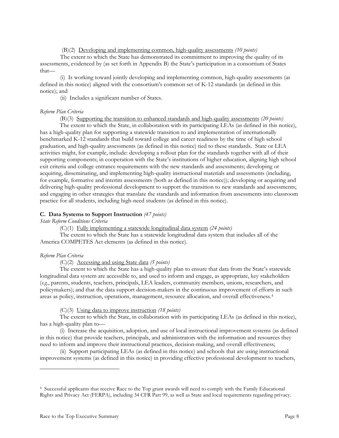## (B)(2) Developing and implementing common, high-quality assessments *(10 points)*

The extent to which the State has demonstrated its commitment to improving the quality of its assessments, evidenced by (as set forth in Appendix B) the State's participation in a consortium of States that—

(i) Is working toward jointly developing and implementing common, high-quality assessments (as defined in this notice) aligned with the consortium's common set of K-12 standards (as defined in this notice); and

(ii) Includes a significant number of States.

#### *Reform Plan Criteria*

(B)(3) Supporting the transition to enhanced standards and high-quality assessments *(20 points)*

The extent to which the State, in collaboration with its participating LEAs (as defined in this notice), has a high-quality plan for supporting a statewide transition to and implementation of internationally benchmarked K-12 standards that build toward college and career readiness by the time of high school graduation, and high-quality assessments (as defined in this notice) tied to these standards. State or LEA activities might, for example, include: developing a rollout plan for the standards together with all of their supporting components; in cooperation with the State's institutions of higher education, aligning high school exit criteria and college entrance requirements with the new standards and assessments; developing or acquiring, disseminating, and implementing high-quality instructional materials and assessments (including, for example, formative and interim assessments (both as defined in this notice)); developing or acquiring and delivering high-quality professional development to support the transition to new standards and assessments; and engaging in other strategies that translate the standards and information from assessments into classroom practice for all students, including high-need students (as defined in this notice).

#### **C. Data Systems to Support Instruction** *(47 points)*

*State Reform Conditions Criteria*

(C)(1) Fully implementing a statewide longitudinal data system *(24 points)*

The extent to which the State has a statewide longitudinal data system that includes all of the America COMPETES Act elements (as defined in this notice).

#### *Reform Plan Criteria*

<u>.</u>

(C)(2) Accessing and using State data *(5 points)*

The extent to which the State has a high-quality plan to ensure that data from the State's statewide longitudinal data system are accessible to, and used to inform and engage, as appropriate, key stakeholders (*e.g.*, parents, students, teachers, principals, LEA leaders, community members, unions, researchers, and policymakers); and that the data support decision-makers in the continuous improvement of efforts in such areas as policy, instruction, operations, management, resource allocation, and overall effectiveness.<sup>4</sup>

(C)(3) Using data to improve instruction *(18 points)*

The extent to which the State, in collaboration with its participating LEAs (as defined in this notice), has a high-quality plan to—

(i) Increase the acquisition, adoption, and use of local instructional improvement systems (as defined in this notice) that provide teachers, principals, and administrators with the information and resources they need to inform and improve their instructional practices, decision-making, and overall effectiveness;

(ii) Support participating LEAs (as defined in this notice) and schools that are using instructional improvement systems (as defined in this notice) in providing effective professional development to teachers,

<sup>4</sup> Successful applicants that receive Race to the Top grant awards will need to comply with the Family Educational Rights and Privacy Act (FERPA), including 34 CFR Part 99, as well as State and local requirements regarding privacy.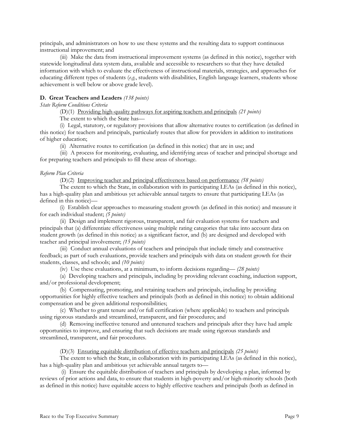principals, and administrators on how to use these systems and the resulting data to support continuous instructional improvement; and

(iii) Make the data from instructional improvement systems (as defined in this notice), together with statewide longitudinal data system data, available and accessible to researchers so that they have detailed information with which to evaluate the effectiveness of instructional materials, strategies, and approaches for educating different types of students (*e.g.*, students with disabilities, English language learners, students whose achievement is well below or above grade level).

## **D. Great Teachers and Leaders** *(138 points)*

#### *State Reform Conditions Criteria*

(D)(1) Providing high-quality pathways for aspiring teachers and principals *(21 points)*

The extent to which the State has—

(i) Legal, statutory, or regulatory provisions that allow alternative routes to certification (as defined in this notice) for teachers and principals, particularly routes that allow for providers in addition to institutions of higher education;

(ii) Alternative routes to certification (as defined in this notice) that are in use; and

(iii) A process for monitoring, evaluating, and identifying areas of teacher and principal shortage and for preparing teachers and principals to fill these areas of shortage.

## *Reform Plan Criteria*

(D)(2) Improving teacher and principal effectiveness based on performance *(58 points)*

The extent to which the State, in collaboration with its participating LEAs (as defined in this notice), has a high-quality plan and ambitious yet achievable annual targets to ensure that participating LEAs (as defined in this notice)—

(i) Establish clear approaches to measuring student growth (as defined in this notice) and measure it for each individual student; *(5 points)*

(ii) Design and implement rigorous, transparent, and fair evaluation systems for teachers and principals that (a) differentiate effectiveness using multiple rating categories that take into account data on student growth (as defined in this notice) as a significant factor, and (b) are designed and developed with teacher and principal involvement; *(15 points)*

(iii) Conduct annual evaluations of teachers and principals that include timely and constructive feedback; as part of such evaluations, provide teachers and principals with data on student growth for their students, classes, and schools; and *(10 points)*

(iv) Use these evaluations, at a minimum, to inform decisions regarding— *(28 points)*

(a) Developing teachers and principals, including by providing relevant coaching, induction support, and/or professional development;

(b) Compensating, promoting, and retaining teachers and principals, including by providing opportunities for highly effective teachers and principals (both as defined in this notice) to obtain additional compensation and be given additional responsibilities;

(c) Whether to grant tenure and/or full certification (where applicable) to teachers and principals using rigorous standards and streamlined, transparent, and fair procedures; and

(d) Removing ineffective tenured and untenured teachers and principals after they have had ample opportunities to improve, and ensuring that such decisions are made using rigorous standards and streamlined, transparent, and fair procedures.

#### (D)(3) Ensuring equitable distribution of effective teachers and principals *(25 points)*

The extent to which the State, in collaboration with its participating LEAs (as defined in this notice), has a high-quality plan and ambitious yet achievable annual targets to—

(i) Ensure the equitable distribution of teachers and principals by developing a plan, informed by reviews of prior actions and data, to ensure that students in high-poverty and/or high-minority schools (both as defined in this notice) have equitable access to highly effective teachers and principals (both as defined in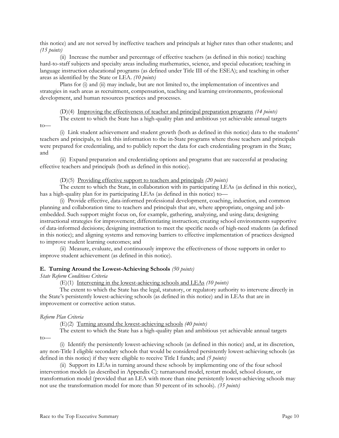this notice) and are not served by ineffective teachers and principals at higher rates than other students; and *(15 points)*

(ii) Increase the number and percentage of effective teachers (as defined in this notice) teaching hard-to-staff subjects and specialty areas including mathematics, science, and special education; teaching in language instruction educational programs (as defined under Title III of the ESEA); and teaching in other areas as identified by the State or LEA. *(10 points)*

Plans for (i) and (ii) may include, but are not limited to, the implementation of incentives and strategies in such areas as recruitment, compensation, teaching and learning environments, professional development, and human resources practices and processes.

(D)(4) Improving the effectiveness of teacher and principal preparation programs *(14 points)*

The extent to which the State has a high-quality plan and ambitious yet achievable annual targets

(i) Link student achievement and student growth (both as defined in this notice) data to the students' teachers and principals, to link this information to the in-State programs where those teachers and principals were prepared for credentialing, and to publicly report the data for each credentialing program in the State; and

(ii) Expand preparation and credentialing options and programs that are successful at producing effective teachers and principals (both as defined in this notice).

(D)(5) Providing effective support to teachers and principals *(20 points)*

The extent to which the State, in collaboration with its participating LEAs (as defined in this notice), has a high-quality plan for its participating LEAs (as defined in this notice) to—

(i) Provide effective, data-informed professional development, coaching, induction, and common planning and collaboration time to teachers and principals that are, where appropriate, ongoing and jobembedded. Such support might focus on, for example, gathering, analyzing, and using data; designing instructional strategies for improvement; differentiating instruction; creating school environments supportive of data-informed decisions; designing instruction to meet the specific needs of high-need students (as defined in this notice); and aligning systems and removing barriers to effective implementation of practices designed to improve student learning outcomes; and

(ii) Measure, evaluate, and continuously improve the effectiveness of those supports in order to improve student achievement (as defined in this notice).

## **E. Turning Around the Lowest-Achieving Schools** *(50 points)*

#### *State Reform Conditions Criteria*

(E)(1) Intervening in the lowest-achieving schools and LEAs *(10 points)*

The extent to which the State has the legal, statutory, or regulatory authority to intervene directly in the State's persistently lowest-achieving schools (as defined in this notice) and in LEAs that are in improvement or corrective action status.

#### *Reform Plan Criteria*

to—

(E)(2) Turning around the lowest-achieving schools *(40 points)*

The extent to which the State has a high-quality plan and ambitious yet achievable annual targets to—

(i) Identify the persistently lowest-achieving schools (as defined in this notice) and, at its discretion, any non-Title I eligible secondary schools that would be considered persistently lowest-achieving schools (as defined in this notice) if they were eligible to receive Title I funds; and *(5 points)*

(ii) Support its LEAs in turning around these schools by implementing one of the four school intervention models (as described in Appendix C): turnaround model, restart model, school closure, or transformation model (provided that an LEA with more than nine persistently lowest-achieving schools may not use the transformation model for more than 50 percent of its schools). *(35 points)*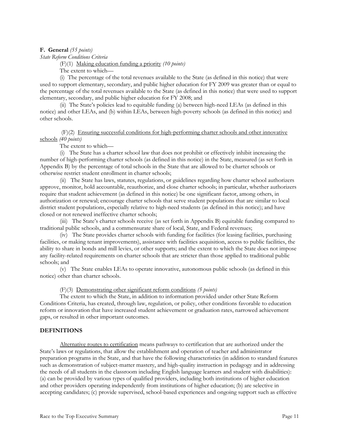## **F. General** *(55 points)*

#### *State Reform Conditions Criteria*

(F)(1) Making education funding a priority *(10 points)*

The extent to which—

(i) The percentage of the total revenues available to the State (as defined in this notice) that were used to support elementary, secondary, and public higher education for FY 2009 was greater than or equal to the percentage of the total revenues available to the State (as defined in this notice) that were used to support elementary, secondary, and public higher education for FY 2008; and

(ii) The State's policies lead to equitable funding (a) between high-need LEAs (as defined in this notice) and other LEAs, and (b) within LEAs, between high-poverty schools (as defined in this notice) and other schools.

(F)(2) Ensuring successful conditions for high-performing charter schools and other innovative schools *(40 points)*

The extent to which—

 (i) The State has a charter school law that does not prohibit or effectively inhibit increasing the number of high-performing charter schools (as defined in this notice) in the State, measured (as set forth in Appendix B) by the percentage of total schools in the State that are allowed to be charter schools or otherwise restrict student enrollment in charter schools;

(ii) The State has laws, statutes, regulations, or guidelines regarding how charter school authorizers approve, monitor, hold accountable, reauthorize, and close charter schools; in particular, whether authorizers require that student achievement (as defined in this notice) be one significant factor, among others, in authorization or renewal; encourage charter schools that serve student populations that are similar to local district student populations, especially relative to high-need students (as defined in this notice); and have closed or not renewed ineffective charter schools;

 (iii) The State's charter schools receive (as set forth in Appendix B) equitable funding compared to traditional public schools, and a commensurate share of local, State, and Federal revenues;

(iv) The State provides charter schools with funding for facilities (for leasing facilities, purchasing facilities, or making tenant improvements), assistance with facilities acquisition, access to public facilities, the ability to share in bonds and mill levies, or other supports; and the extent to which the State does not impose any facility-related requirements on charter schools that are stricter than those applied to traditional public schools; and

(v) The State enables LEAs to operate innovative, autonomous public schools (as defined in this notice) other than charter schools.

(F)(3) Demonstrating other significant reform conditions *(5 points)*

The extent to which the State, in addition to information provided under other State Reform Conditions Criteria, has created, through law, regulation, or policy, other conditions favorable to education reform or innovation that have increased student achievement or graduation rates, narrowed achievement gaps, or resulted in other important outcomes.

## **DEFINITIONS**

Alternative routes to certification means pathways to certification that are authorized under the State's laws or regulations, that allow the establishment and operation of teacher and administrator preparation programs in the State, and that have the following characteristics (in addition to standard features such as demonstration of subject-matter mastery, and high-quality instruction in pedagogy and in addressing the needs of all students in the classroom including English language learners and student with disabilities): (a) can be provided by various types of qualified providers, including both institutions of higher education and other providers operating independently from institutions of higher education; (b) are selective in accepting candidates; (c) provide supervised, school-based experiences and ongoing support such as effective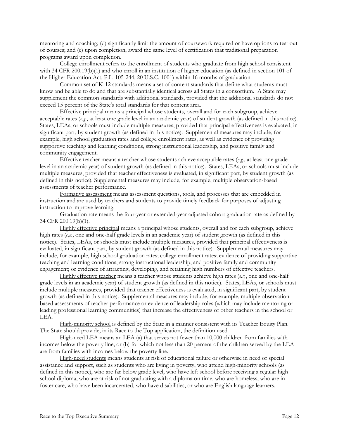mentoring and coaching; (d) significantly limit the amount of coursework required or have options to test out of courses; and (e) upon completion, award the same level of certification that traditional preparation programs award upon completion.

College enrollment refers to the enrollment of students who graduate from high school consistent with 34 CFR 200.19(b)(1) and who enroll in an institution of higher education (as defined in section 101 of the Higher Education Act, P.L. 105-244, 20 U.S.C. 1001) within 16 months of graduation.

Common set of K-12 standards means a set of content standards that define what students must know and be able to do and that are substantially identical across all States in a consortium. A State may supplement the common standards with additional standards, provided that the additional standards do not exceed 15 percent of the State's total standards for that content area.

Effective principal means a principal whose students, overall and for each subgroup, achieve acceptable rates (*e.g.*, at least one grade level in an academic year) of student growth (as defined in this notice). States, LEAs, or schools must include multiple measures, provided that principal effectiveness is evaluated, in significant part, by student growth (as defined in this notice). Supplemental measures may include, for example, high school graduation rates and college enrollment rates, as well as evidence of providing supportive teaching and learning conditions, strong instructional leadership, and positive family and community engagement.

Effective teacher means a teacher whose students achieve acceptable rates (*e.g.*, at least one grade level in an academic year) of student growth (as defined in this notice). States, LEAs, or schools must include multiple measures, provided that teacher effectiveness is evaluated, in significant part, by student growth (as defined in this notice). Supplemental measures may include, for example, multiple observation-based assessments of teacher performance.

Formative assessment means assessment questions, tools, and processes that are embedded in instruction and are used by teachers and students to provide timely feedback for purposes of adjusting instruction to improve learning.

Graduation rate means the four-year or extended-year adjusted cohort graduation rate as defined by 34 CFR 200.19(b)(1).

Highly effective principal means a principal whose students, overall and for each subgroup, achieve high rates (*e.g.*, one and one-half grade levels in an academic year) of student growth (as defined in this notice). States, LEAs, or schools must include multiple measures, provided that principal effectiveness is evaluated, in significant part, by student growth (as defined in this notice). Supplemental measures may include, for example, high school graduation rates; college enrollment rates; evidence of providing supportive teaching and learning conditions, strong instructional leadership, and positive family and community engagement; or evidence of attracting, developing, and retaining high numbers of effective teachers.

Highly effective teacher means a teacher whose students achieve high rates (*e.g.*, one and one-half grade levels in an academic year) of student growth (as defined in this notice). States, LEAs, or schools must include multiple measures, provided that teacher effectiveness is evaluated, in significant part, by student growth (as defined in this notice). Supplemental measures may include, for example, multiple observationbased assessments of teacher performance or evidence of leadership roles (which may include mentoring or leading professional learning communities) that increase the effectiveness of other teachers in the school or LEA.

High-minority school is defined by the State in a manner consistent with its Teacher Equity Plan. The State should provide, in its Race to the Top application, the definition used.

High-need LEA means an LEA (a) that serves not fewer than 10,000 children from families with incomes below the poverty line; or (b) for which not less than 20 percent of the children served by the LEA are from families with incomes below the poverty line.

High-need students means students at risk of educational failure or otherwise in need of special assistance and support, such as students who are living in poverty, who attend high-minority schools (as defined in this notice), who are far below grade level, who have left school before receiving a regular high school diploma, who are at risk of not graduating with a diploma on time, who are homeless, who are in foster care, who have been incarcerated, who have disabilities, or who are English language learners.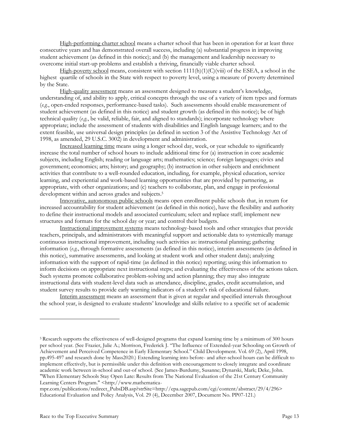High-performing charter school means a charter school that has been in operation for at least three consecutive years and has demonstrated overall success, including (a) substantial progress in improving student achievement (as defined in this notice); and (b) the management and leadership necessary to overcome initial start-up problems and establish a thriving, financially viable charter school.

High-poverty school means, consistent with section  $1111(h)(1)(C)(viii)$  of the ESEA, a school in the highest quartile of schools in the State with respect to poverty level, using a measure of poverty determined by the State.

High-quality assessment means an assessment designed to measure a student's knowledge, understanding of, and ability to apply, critical concepts through the use of a variety of item types and formats (*e.g.*, open-ended responses, performance-based tasks). Such assessments should enable measurement of student achievement (as defined in this notice) and student growth (as defined in this notice); be of high technical quality (*e.g.*, be valid, reliable, fair, and aligned to standards); incorporate technology where appropriate; include the assessment of students with disabilities and English language learners; and to the extent feasible, use universal design principles (as defined in section 3 of the Assistive Technology Act of 1998, as amended, 29 U.S.C. 3002) in development and administration.

Increased learning time means using a longer school day, week, or year schedule to significantly increase the total number of school hours to include additional time for (a) instruction in core academic subjects, including English; reading or language arts; mathematics; science; foreign languages; civics and government; economics; arts; history; and geography; (b) instruction in other subjects and enrichment activities that contribute to a well-rounded education, including, for example, physical education, service learning, and experiential and work-based learning opportunities that are provided by partnering, as appropriate, with other organizations; and (c) teachers to collaborate, plan, and engage in professional development within and across grades and subjects. 5

Innovative, autonomous public schools means open enrollment public schools that, in return for increased accountability for student achievement (as defined in this notice), have the flexibility and authority to define their instructional models and associated curriculum; select and replace staff; implement new structures and formats for the school day or year; and control their budgets.

Instructional improvement systems means technology-based tools and other strategies that provide teachers, principals, and administrators with meaningful support and actionable data to systemically manage continuous instructional improvement, including such activities as: instructional planning; gathering information (*e.g.*, through formative assessments (as defined in this notice), interim assessments (as defined in this notice), summative assessments, and looking at student work and other student data); analyzing information with the support of rapid-time (as defined in this notice) reporting; using this information to inform decisions on appropriate next instructional steps; and evaluating the effectiveness of the actions taken. Such systems promote collaborative problem-solving and action planning; they may also integrate instructional data with student-level data such as attendance, discipline, grades, credit accumulation, and student survey results to provide early warning indicators of a student's risk of educational failure.

Interim assessment means an assessment that is given at regular and specified intervals throughout the school year, is designed to evaluate students' knowledge and skills relative to a specific set of academic

mpr.com/publications/redirect\_PubsDB.asp?strSite=http://epa.sagepub.com/cgi/content/abstract/29/4/296> Educational Evaluation and Policy Analysis, Vol. 29 (4), December 2007, Document No. PP07-121.)

L,

<sup>5</sup> Research supports the effectiveness of well-designed programs that expand learning time by a minimum of 300 hours per school year. (See Frazier, Julie A.; Morrison, Frederick J. "The Influence of Extended-year Schooling on Growth of Achievement and Perceived Competence in Early Elementary School." Child Development. Vol. 69 (2), April 1998, pp.495-497 and research done by Mass2020.) Extending learning into before- and after-school hours can be difficult to implement effectively, but is permissible under this definition with encouragement to closely integrate and coordinate academic work between in-school and out-of school. (See James-Burdumy, Susanne; Dynarski, Mark; Deke, John. "When Elementary Schools Stay Open Late: Results from The National Evaluation of the 21st Century Community Learning Centers Program." <http://www.mathematica-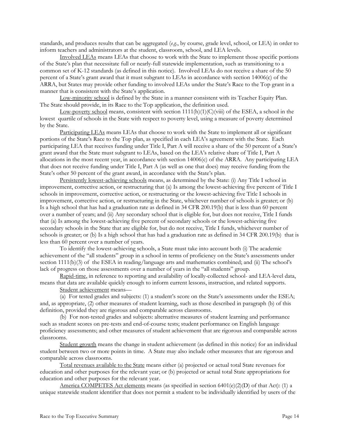standards, and produces results that can be aggregated (*e.g.*, by course, grade level, school, or LEA) in order to inform teachers and administrators at the student, classroom, school, and LEA levels.

Involved LEAs means LEAs that choose to work with the State to implement those specific portions of the State's plan that necessitate full or nearly-full statewide implementation, such as transitioning to a common set of K-12 standards (as defined in this notice). Involved LEAs do not receive a share of the 50 percent of a State's grant award that it must subgrant to LEAs in accordance with section 14006(c) of the ARRA, but States may provide other funding to involved LEAs under the State's Race to the Top grant in a manner that is consistent with the State's application.

Low-minority school is defined by the State in a manner consistent with its Teacher Equity Plan. The State should provide, in its Race to the Top application, the definition used.

Low-poverty school means, consistent with section  $1111(h)(1)(C)(viii)$  of the ESEA, a school in the lowest quartile of schools in the State with respect to poverty level, using a measure of poverty determined by the State.

Participating LEAs means LEAs that choose to work with the State to implement all or significant portions of the State's Race to the Top plan, as specified in each LEA's agreement with the State. Each participating LEA that receives funding under Title I, Part A will receive a share of the 50 percent of a State's grant award that the State must subgrant to LEAs, based on the LEA's relative share of Title I, Part A allocations in the most recent year, in accordance with section 14006(c) of the ARRA. Any participating LEA that does not receive funding under Title I, Part A (as well as one that does) may receive funding from the State's other 50 percent of the grant award, in accordance with the State's plan.

Persistently lowest-achieving schools means, as determined by the State: (i) Any Title I school in improvement, corrective action, or restructuring that (a) Is among the lowest-achieving five percent of Title I schools in improvement, corrective action, or restructuring or the lowest-achieving five Title I schools in improvement, corrective action, or restructuring in the State, whichever number of schools is greater; or (b) Is a high school that has had a graduation rate as defined in 34 CFR 200.19(b) that is less than 60 percent over a number of years; and (ii) Any secondary school that is eligible for, but does not receive, Title I funds that (a) Is among the lowest-achieving five percent of secondary schools or the lowest-achieving five secondary schools in the State that are eligible for, but do not receive, Title I funds, whichever number of schools is greater; or (b) Is a high school that has had a graduation rate as defined in 34 CFR 200.19(b) that is less than 60 percent over a number of years.

To identify the lowest-achieving schools, a State must take into account both (i) The academic achievement of the "all students" group in a school in terms of proficiency on the State's assessments under section 1111(b)(3) of the ESEA in reading/language arts and mathematics combined; and (ii) The school's lack of progress on those assessments over a number of years in the "all students" group.

Rapid-time, in reference to reporting and availability of locally-collected school- and LEA-level data, means that data are available quickly enough to inform current lessons, instruction, and related supports.

Student achievement means—

 (a) For tested grades and subjects: (1) a student's score on the State's assessments under the ESEA; and, as appropriate, (2) other measures of student learning, such as those described in paragraph (b) of this definition, provided they are rigorous and comparable across classrooms.

 (b) For non-tested grades and subjects: alternative measures of student learning and performance such as student scores on pre-tests and end-of-course tests; student performance on English language proficiency assessments; and other measures of student achievement that are rigorous and comparable across classrooms.

Student growth means the change in student achievement (as defined in this notice) for an individual student between two or more points in time. A State may also include other measures that are rigorous and comparable across classrooms.

Total revenues available to the State means either (a) projected or actual total State revenues for education and other purposes for the relevant year; or (b) projected or actual total State appropriations for education and other purposes for the relevant year.

America COMPETES Act elements means (as specified in section  $6401(e)(2)(D)$  of that Act): (1) a unique statewide student identifier that does not permit a student to be individually identified by users of the